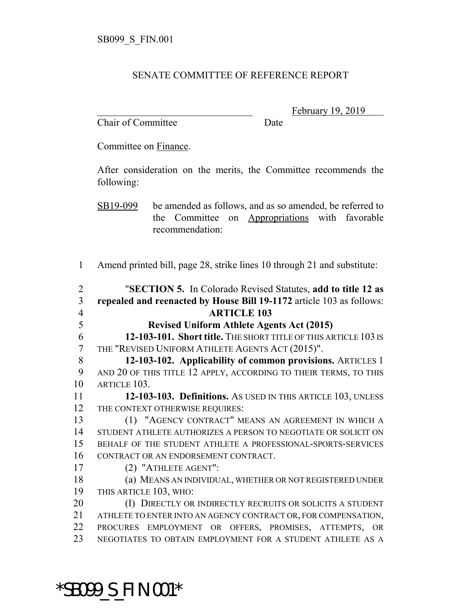#### SENATE COMMITTEE OF REFERENCE REPORT

Chair of Committee Date

February 19, 2019

Committee on Finance.

After consideration on the merits, the Committee recommends the following:

SB19-099 be amended as follows, and as so amended, be referred to the Committee on Appropriations with favorable recommendation:

Amend printed bill, page 28, strike lines 10 through 21 and substitute:

| $\overline{2}$ | "SECTION 5. In Colorado Revised Statutes, add to title 12 as         |
|----------------|----------------------------------------------------------------------|
| $\overline{3}$ | repealed and reenacted by House Bill 19-1172 article 103 as follows: |
| $\overline{4}$ | <b>ARTICLE 103</b>                                                   |
| 5              | <b>Revised Uniform Athlete Agents Act (2015)</b>                     |
| 6              | 12-103-101. Short title. THE SHORT TITLE OF THIS ARTICLE 103 IS      |
| $\overline{7}$ | THE "REVISED UNIFORM ATHLETE AGENTS ACT (2015)".                     |
| 8              | 12-103-102. Applicability of common provisions. ARTICLES 1           |
| 9              | AND 20 OF THIS TITLE 12 APPLY, ACCORDING TO THEIR TERMS, TO THIS     |
| 10             | ARTICLE 103.                                                         |
| 11             | 12-103-103. Definitions. As USED IN THIS ARTICLE 103, UNLESS         |
| 12             | THE CONTEXT OTHERWISE REQUIRES:                                      |
| 13             | (1) "AGENCY CONTRACT" MEANS AN AGREEMENT IN WHICH A                  |
| 14             | STUDENT ATHLETE AUTHORIZES A PERSON TO NEGOTIATE OR SOLICIT ON       |
| 15             | BEHALF OF THE STUDENT ATHLETE A PROFESSIONAL-SPORTS-SERVICES         |
| 16             | CONTRACT OR AN ENDORSEMENT CONTRACT.                                 |
| 17             | (2) "ATHLETE AGENT":                                                 |
| 18             | (a) MEANS AN INDIVIDUAL, WHETHER OR NOT REGISTERED UNDER             |
| 19             | THIS ARTICLE 103, WHO:                                               |
| 20             | (I) DIRECTLY OR INDIRECTLY RECRUITS OR SOLICITS A STUDENT            |
| 21             | ATHLETE TO ENTER INTO AN AGENCY CONTRACT OR, FOR COMPENSATION,       |
| 22             | PROCURES EMPLOYMENT OR OFFERS, PROMISES, ATTEMPTS, OR                |
| 23             | NEGOTIATES TO OBTAIN EMPLOYMENT FOR A STUDENT ATHLETE AS A           |
|                |                                                                      |
|                |                                                                      |

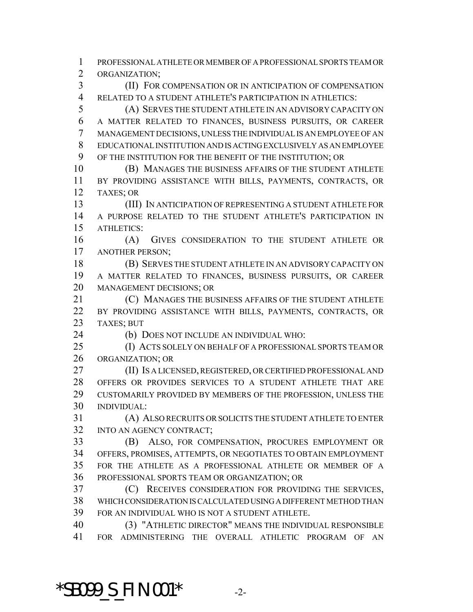PROFESSIONAL ATHLETE OR MEMBER OF A PROFESSIONAL SPORTS TEAM OR ORGANIZATION; (II) FOR COMPENSATION OR IN ANTICIPATION OF COMPENSATION RELATED TO A STUDENT ATHLETE'S PARTICIPATION IN ATHLETICS: (A) SERVES THE STUDENT ATHLETE IN AN ADVISORY CAPACITY ON

 A MATTER RELATED TO FINANCES, BUSINESS PURSUITS, OR CAREER MANAGEMENT DECISIONS, UNLESS THE INDIVIDUAL IS AN EMPLOYEE OF AN EDUCATIONAL INSTITUTION AND IS ACTING EXCLUSIVELY AS AN EMPLOYEE OF THE INSTITUTION FOR THE BENEFIT OF THE INSTITUTION; OR

 (B) MANAGES THE BUSINESS AFFAIRS OF THE STUDENT ATHLETE BY PROVIDING ASSISTANCE WITH BILLS, PAYMENTS, CONTRACTS, OR TAXES; OR

 (III) IN ANTICIPATION OF REPRESENTING A STUDENT ATHLETE FOR A PURPOSE RELATED TO THE STUDENT ATHLETE'S PARTICIPATION IN ATHLETICS:

 (A) GIVES CONSIDERATION TO THE STUDENT ATHLETE OR ANOTHER PERSON;

 (B) SERVES THE STUDENT ATHLETE IN AN ADVISORY CAPACITY ON A MATTER RELATED TO FINANCES, BUSINESS PURSUITS, OR CAREER MANAGEMENT DECISIONS; OR

 (C) MANAGES THE BUSINESS AFFAIRS OF THE STUDENT ATHLETE BY PROVIDING ASSISTANCE WITH BILLS, PAYMENTS, CONTRACTS, OR TAXES; BUT

(b) DOES NOT INCLUDE AN INDIVIDUAL WHO:

 (I) ACTS SOLELY ON BEHALF OF A PROFESSIONAL SPORTS TEAM OR ORGANIZATION; OR

 (II) IS A LICENSED, REGISTERED, OR CERTIFIED PROFESSIONAL AND OFFERS OR PROVIDES SERVICES TO A STUDENT ATHLETE THAT ARE CUSTOMARILY PROVIDED BY MEMBERS OF THE PROFESSION, UNLESS THE INDIVIDUAL:

 (A) ALSO RECRUITS OR SOLICITS THE STUDENT ATHLETE TO ENTER INTO AN AGENCY CONTRACT;

 (B) ALSO, FOR COMPENSATION, PROCURES EMPLOYMENT OR OFFERS, PROMISES, ATTEMPTS, OR NEGOTIATES TO OBTAIN EMPLOYMENT FOR THE ATHLETE AS A PROFESSIONAL ATHLETE OR MEMBER OF A PROFESSIONAL SPORTS TEAM OR ORGANIZATION; OR

 (C) RECEIVES CONSIDERATION FOR PROVIDING THE SERVICES, WHICH CONSIDERATION IS CALCULATED USING A DIFFERENT METHOD THAN FOR AN INDIVIDUAL WHO IS NOT A STUDENT ATHLETE.

 (3) "ATHLETIC DIRECTOR" MEANS THE INDIVIDUAL RESPONSIBLE FOR ADMINISTERING THE OVERALL ATHLETIC PROGRAM OF AN

\*SB099\_S\_FIN.001\* -2-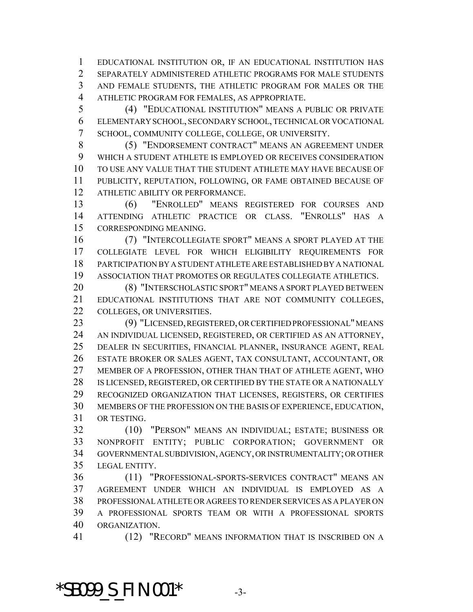EDUCATIONAL INSTITUTION OR, IF AN EDUCATIONAL INSTITUTION HAS SEPARATELY ADMINISTERED ATHLETIC PROGRAMS FOR MALE STUDENTS AND FEMALE STUDENTS, THE ATHLETIC PROGRAM FOR MALES OR THE ATHLETIC PROGRAM FOR FEMALES, AS APPROPRIATE.

 (4) "EDUCATIONAL INSTITUTION" MEANS A PUBLIC OR PRIVATE ELEMENTARY SCHOOL, SECONDARY SCHOOL, TECHNICAL OR VOCATIONAL SCHOOL, COMMUNITY COLLEGE, COLLEGE, OR UNIVERSITY.

 (5) "ENDORSEMENT CONTRACT" MEANS AN AGREEMENT UNDER WHICH A STUDENT ATHLETE IS EMPLOYED OR RECEIVES CONSIDERATION TO USE ANY VALUE THAT THE STUDENT ATHLETE MAY HAVE BECAUSE OF PUBLICITY, REPUTATION, FOLLOWING, OR FAME OBTAINED BECAUSE OF ATHLETIC ABILITY OR PERFORMANCE.

 (6) "ENROLLED" MEANS REGISTERED FOR COURSES AND ATTENDING ATHLETIC PRACTICE OR CLASS. "ENROLLS" HAS A CORRESPONDING MEANING.

 (7) "INTERCOLLEGIATE SPORT" MEANS A SPORT PLAYED AT THE COLLEGIATE LEVEL FOR WHICH ELIGIBILITY REQUIREMENTS FOR PARTICIPATION BY A STUDENT ATHLETE ARE ESTABLISHED BY A NATIONAL ASSOCIATION THAT PROMOTES OR REGULATES COLLEGIATE ATHLETICS.

 (8) "INTERSCHOLASTIC SPORT" MEANS A SPORT PLAYED BETWEEN EDUCATIONAL INSTITUTIONS THAT ARE NOT COMMUNITY COLLEGES, 22 COLLEGES, OR UNIVERSITIES.

 (9) "LICENSED, REGISTERED, OR CERTIFIED PROFESSIONAL" MEANS AN INDIVIDUAL LICENSED, REGISTERED, OR CERTIFIED AS AN ATTORNEY, DEALER IN SECURITIES, FINANCIAL PLANNER, INSURANCE AGENT, REAL ESTATE BROKER OR SALES AGENT, TAX CONSULTANT, ACCOUNTANT, OR MEMBER OF A PROFESSION, OTHER THAN THAT OF ATHLETE AGENT, WHO IS LICENSED, REGISTERED, OR CERTIFIED BY THE STATE OR A NATIONALLY RECOGNIZED ORGANIZATION THAT LICENSES, REGISTERS, OR CERTIFIES MEMBERS OF THE PROFESSION ON THE BASIS OF EXPERIENCE, EDUCATION, OR TESTING.

 (10) "PERSON" MEANS AN INDIVIDUAL; ESTATE; BUSINESS OR NONPROFIT ENTITY; PUBLIC CORPORATION; GOVERNMENT OR GOVERNMENTAL SUBDIVISION, AGENCY, OR INSTRUMENTALITY; OR OTHER LEGAL ENTITY.

 (11) "PROFESSIONAL-SPORTS-SERVICES CONTRACT" MEANS AN AGREEMENT UNDER WHICH AN INDIVIDUAL IS EMPLOYED AS A PROFESSIONAL ATHLETE OR AGREES TO RENDER SERVICES AS A PLAYER ON A PROFESSIONAL SPORTS TEAM OR WITH A PROFESSIONAL SPORTS ORGANIZATION.

(12) "RECORD" MEANS INFORMATION THAT IS INSCRIBED ON A

**\*SB099\_S\_FIN.001\*** 3-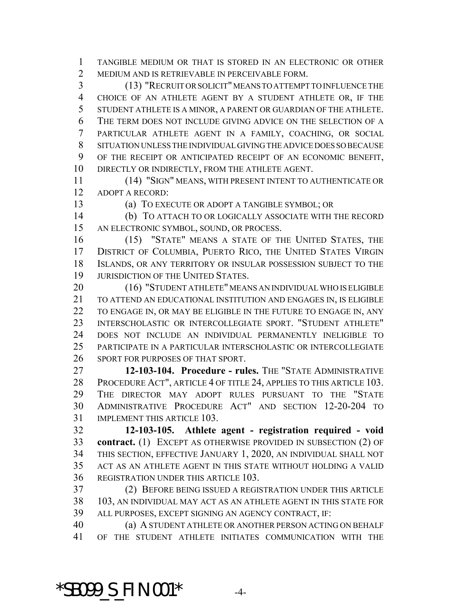TANGIBLE MEDIUM OR THAT IS STORED IN AN ELECTRONIC OR OTHER MEDIUM AND IS RETRIEVABLE IN PERCEIVABLE FORM.

 (13) "RECRUIT OR SOLICIT" MEANS TO ATTEMPT TO INFLUENCE THE CHOICE OF AN ATHLETE AGENT BY A STUDENT ATHLETE OR, IF THE STUDENT ATHLETE IS A MINOR, A PARENT OR GUARDIAN OF THE ATHLETE. THE TERM DOES NOT INCLUDE GIVING ADVICE ON THE SELECTION OF A PARTICULAR ATHLETE AGENT IN A FAMILY, COACHING, OR SOCIAL SITUATION UNLESS THE INDIVIDUAL GIVING THE ADVICE DOES SO BECAUSE OF THE RECEIPT OR ANTICIPATED RECEIPT OF AN ECONOMIC BENEFIT, DIRECTLY OR INDIRECTLY, FROM THE ATHLETE AGENT.

 (14) "SIGN" MEANS, WITH PRESENT INTENT TO AUTHENTICATE OR ADOPT A RECORD:

(a) TO EXECUTE OR ADOPT A TANGIBLE SYMBOL; OR

 (b) TO ATTACH TO OR LOGICALLY ASSOCIATE WITH THE RECORD AN ELECTRONIC SYMBOL, SOUND, OR PROCESS.

 (15) "STATE" MEANS A STATE OF THE UNITED STATES, THE 17 DISTRICT OF COLUMBIA, PUERTO RICO, THE UNITED STATES VIRGIN ISLANDS, OR ANY TERRITORY OR INSULAR POSSESSION SUBJECT TO THE 19 JURISDICTION OF THE UNITED STATES.

 (16) "STUDENT ATHLETE" MEANS AN INDIVIDUAL WHO IS ELIGIBLE TO ATTEND AN EDUCATIONAL INSTITUTION AND ENGAGES IN, IS ELIGIBLE 22 TO ENGAGE IN, OR MAY BE ELIGIBLE IN THE FUTURE TO ENGAGE IN, ANY INTERSCHOLASTIC OR INTERCOLLEGIATE SPORT. "STUDENT ATHLETE" DOES NOT INCLUDE AN INDIVIDUAL PERMANENTLY INELIGIBLE TO PARTICIPATE IN A PARTICULAR INTERSCHOLASTIC OR INTERCOLLEGIATE SPORT FOR PURPOSES OF THAT SPORT.

 **12-103-104. Procedure - rules.** THE "STATE ADMINISTRATIVE PROCEDURE ACT", ARTICLE 4 OF TITLE 24, APPLIES TO THIS ARTICLE 103. THE DIRECTOR MAY ADOPT RULES PURSUANT TO THE "STATE ADMINISTRATIVE PROCEDURE ACT" AND SECTION 12-20-204 TO IMPLEMENT THIS ARTICLE 103.

 **12-103-105. Athlete agent - registration required - void contract.** (1) EXCEPT AS OTHERWISE PROVIDED IN SUBSECTION (2) OF THIS SECTION, EFFECTIVE JANUARY 1, 2020, AN INDIVIDUAL SHALL NOT ACT AS AN ATHLETE AGENT IN THIS STATE WITHOUT HOLDING A VALID REGISTRATION UNDER THIS ARTICLE 103.

 (2) BEFORE BEING ISSUED A REGISTRATION UNDER THIS ARTICLE 103, AN INDIVIDUAL MAY ACT AS AN ATHLETE AGENT IN THIS STATE FOR ALL PURPOSES, EXCEPT SIGNING AN AGENCY CONTRACT, IF:

 (a) A STUDENT ATHLETE OR ANOTHER PERSON ACTING ON BEHALF OF THE STUDENT ATHLETE INITIATES COMMUNICATION WITH THE

## **\*SB099\_S\_FIN.001\*** 4-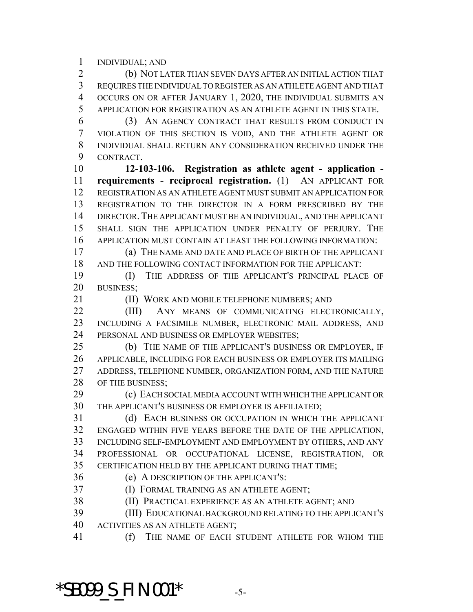INDIVIDUAL; AND

 (b) NOT LATER THAN SEVEN DAYS AFTER AN INITIAL ACTION THAT REQUIRES THE INDIVIDUAL TO REGISTER AS AN ATHLETE AGENT AND THAT OCCURS ON OR AFTER JANUARY 1, 2020, THE INDIVIDUAL SUBMITS AN APPLICATION FOR REGISTRATION AS AN ATHLETE AGENT IN THIS STATE.

 (3) AN AGENCY CONTRACT THAT RESULTS FROM CONDUCT IN VIOLATION OF THIS SECTION IS VOID, AND THE ATHLETE AGENT OR INDIVIDUAL SHALL RETURN ANY CONSIDERATION RECEIVED UNDER THE CONTRACT.

 **12-103-106. Registration as athlete agent - application - requirements - reciprocal registration.** (1) AN APPLICANT FOR REGISTRATION AS AN ATHLETE AGENT MUST SUBMIT AN APPLICATION FOR REGISTRATION TO THE DIRECTOR IN A FORM PRESCRIBED BY THE DIRECTOR. THE APPLICANT MUST BE AN INDIVIDUAL, AND THE APPLICANT SHALL SIGN THE APPLICATION UNDER PENALTY OF PERJURY. THE APPLICATION MUST CONTAIN AT LEAST THE FOLLOWING INFORMATION:

 (a) THE NAME AND DATE AND PLACE OF BIRTH OF THE APPLICANT AND THE FOLLOWING CONTACT INFORMATION FOR THE APPLICANT:

 (I) THE ADDRESS OF THE APPLICANT'S PRINCIPAL PLACE OF BUSINESS;

(II) WORK AND MOBILE TELEPHONE NUMBERS; AND

22 (III) ANY MEANS OF COMMUNICATING ELECTRONICALLY, INCLUDING A FACSIMILE NUMBER, ELECTRONIC MAIL ADDRESS, AND PERSONAL AND BUSINESS OR EMPLOYER WEBSITES;

 (b) THE NAME OF THE APPLICANT'S BUSINESS OR EMPLOYER, IF APPLICABLE, INCLUDING FOR EACH BUSINESS OR EMPLOYER ITS MAILING ADDRESS, TELEPHONE NUMBER, ORGANIZATION FORM, AND THE NATURE 28 OF THE BUSINESS;

 (c) EACH SOCIAL MEDIA ACCOUNT WITH WHICH THE APPLICANT OR THE APPLICANT'S BUSINESS OR EMPLOYER IS AFFILIATED;

 (d) EACH BUSINESS OR OCCUPATION IN WHICH THE APPLICANT ENGAGED WITHIN FIVE YEARS BEFORE THE DATE OF THE APPLICATION, INCLUDING SELF-EMPLOYMENT AND EMPLOYMENT BY OTHERS, AND ANY PROFESSIONAL OR OCCUPATIONAL LICENSE, REGISTRATION, OR CERTIFICATION HELD BY THE APPLICANT DURING THAT TIME;

(e) A DESCRIPTION OF THE APPLICANT'S:

(I) FORMAL TRAINING AS AN ATHLETE AGENT;

(II) PRACTICAL EXPERIENCE AS AN ATHLETE AGENT; AND

 (III) EDUCATIONAL BACKGROUND RELATING TO THE APPLICANT'S ACTIVITIES AS AN ATHLETE AGENT;

(f) THE NAME OF EACH STUDENT ATHLETE FOR WHOM THE

**\*SB099\_S\_FIN.001\*** -5-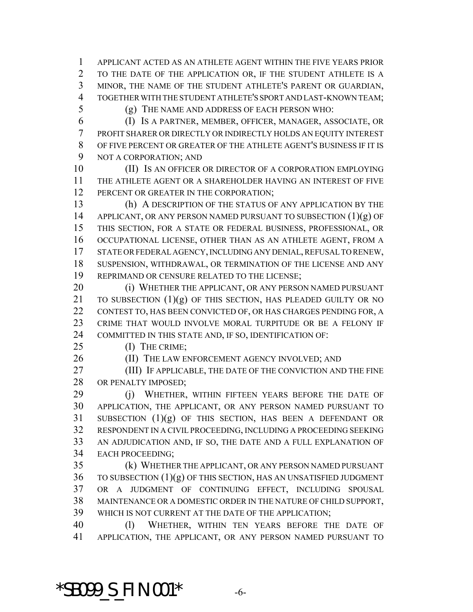APPLICANT ACTED AS AN ATHLETE AGENT WITHIN THE FIVE YEARS PRIOR TO THE DATE OF THE APPLICATION OR, IF THE STUDENT ATHLETE IS A MINOR, THE NAME OF THE STUDENT ATHLETE'S PARENT OR GUARDIAN, TOGETHER WITH THE STUDENT ATHLETE'S SPORT AND LAST-KNOWN TEAM;

(g) THE NAME AND ADDRESS OF EACH PERSON WHO:

 (I) IS A PARTNER, MEMBER, OFFICER, MANAGER, ASSOCIATE, OR PROFIT SHARER OR DIRECTLY OR INDIRECTLY HOLDS AN EQUITY INTEREST OF FIVE PERCENT OR GREATER OF THE ATHLETE AGENT'S BUSINESS IF IT IS NOT A CORPORATION; AND

10 (II) Is an officer or director of a corporation employing THE ATHLETE AGENT OR A SHAREHOLDER HAVING AN INTEREST OF FIVE 12 PERCENT OR GREATER IN THE CORPORATION;

 (h) A DESCRIPTION OF THE STATUS OF ANY APPLICATION BY THE 14 APPLICANT, OR ANY PERSON NAMED PURSUANT TO SUBSECTION (1)(g) OF THIS SECTION, FOR A STATE OR FEDERAL BUSINESS, PROFESSIONAL, OR OCCUPATIONAL LICENSE, OTHER THAN AS AN ATHLETE AGENT, FROM A STATE OR FEDERAL AGENCY, INCLUDING ANY DENIAL, REFUSAL TO RENEW, SUSPENSION, WITHDRAWAL, OR TERMINATION OF THE LICENSE AND ANY 19 REPRIMAND OR CENSURE RELATED TO THE LICENSE;

**(i) WHETHER THE APPLICANT, OR ANY PERSON NAMED PURSUANT** 21 TO SUBSECTION  $(1)(g)$  OF THIS SECTION, HAS PLEADED GUILTY OR NO CONTEST TO, HAS BEEN CONVICTED OF, OR HAS CHARGES PENDING FOR, A CRIME THAT WOULD INVOLVE MORAL TURPITUDE OR BE A FELONY IF COMMITTED IN THIS STATE AND, IF SO, IDENTIFICATION OF:

25 (I) THE CRIME;

26 (II) THE LAW ENFORCEMENT AGENCY INVOLVED; AND

 (III) IF APPLICABLE, THE DATE OF THE CONVICTION AND THE FINE 28 OR PENALTY IMPOSED;

29 (j) WHETHER, WITHIN FIFTEEN YEARS BEFORE THE DATE OF APPLICATION, THE APPLICANT, OR ANY PERSON NAMED PURSUANT TO SUBSECTION (1)(g) OF THIS SECTION, HAS BEEN A DEFENDANT OR RESPONDENT IN A CIVIL PROCEEDING, INCLUDING A PROCEEDING SEEKING AN ADJUDICATION AND, IF SO, THE DATE AND A FULL EXPLANATION OF EACH PROCEEDING;

 (k) WHETHER THE APPLICANT, OR ANY PERSON NAMED PURSUANT TO SUBSECTION (1)(g) OF THIS SECTION, HAS AN UNSATISFIED JUDGMENT OR A JUDGMENT OF CONTINUING EFFECT, INCLUDING SPOUSAL MAINTENANCE OR A DOMESTIC ORDER IN THE NATURE OF CHILD SUPPORT, WHICH IS NOT CURRENT AT THE DATE OF THE APPLICATION;

 (l) WHETHER, WITHIN TEN YEARS BEFORE THE DATE OF APPLICATION, THE APPLICANT, OR ANY PERSON NAMED PURSUANT TO

\*SB099\_S\_FIN.001\* -6-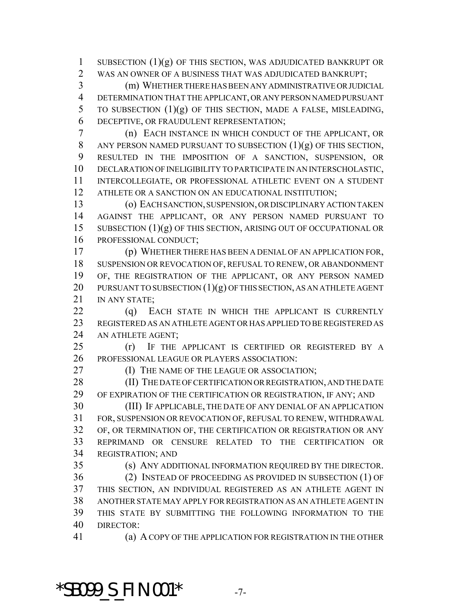1 SUBSECTION  $(1)(g)$  OF THIS SECTION, WAS ADJUDICATED BANKRUPT OR WAS AN OWNER OF A BUSINESS THAT WAS ADJUDICATED BANKRUPT;

 (m) WHETHER THERE HAS BEEN ANY ADMINISTRATIVE OR JUDICIAL DETERMINATION THAT THE APPLICANT, OR ANY PERSON NAMED PURSUANT TO SUBSECTION (1)(g) OF THIS SECTION, MADE A FALSE, MISLEADING, DECEPTIVE, OR FRAUDULENT REPRESENTATION;

 (n) EACH INSTANCE IN WHICH CONDUCT OF THE APPLICANT, OR 8 ANY PERSON NAMED PURSUANT TO SUBSECTION  $(1)(g)$  OF THIS SECTION, RESULTED IN THE IMPOSITION OF A SANCTION, SUSPENSION, OR DECLARATION OF INELIGIBILITY TO PARTICIPATE IN AN INTERSCHOLASTIC, INTERCOLLEGIATE, OR PROFESSIONAL ATHLETIC EVENT ON A STUDENT ATHLETE OR A SANCTION ON AN EDUCATIONAL INSTITUTION;

 (o) EACH SANCTION, SUSPENSION, OR DISCIPLINARY ACTION TAKEN AGAINST THE APPLICANT, OR ANY PERSON NAMED PURSUANT TO 15 SUBSECTION (1)(g) OF THIS SECTION, ARISING OUT OF OCCUPATIONAL OR PROFESSIONAL CONDUCT;

 (p) WHETHER THERE HAS BEEN A DENIAL OF AN APPLICATION FOR, SUSPENSION OR REVOCATION OF, REFUSAL TO RENEW, OR ABANDONMENT 19 OF, THE REGISTRATION OF THE APPLICANT, OR ANY PERSON NAMED 20 PURSUANT TO SUBSECTION  $(1)(g)$  OF THIS SECTION, AS AN ATHLETE AGENT 21 IN ANY STATE:

22 (q) EACH STATE IN WHICH THE APPLICANT IS CURRENTLY REGISTERED AS AN ATHLETE AGENT OR HAS APPLIED TO BE REGISTERED AS AN ATHLETE AGENT;

 (r) IF THE APPLICANT IS CERTIFIED OR REGISTERED BY A PROFESSIONAL LEAGUE OR PLAYERS ASSOCIATION:

**(I) THE NAME OF THE LEAGUE OR ASSOCIATION:** 

28 (II) THE DATE OF CERTIFICATION OR REGISTRATION, AND THE DATE OF EXPIRATION OF THE CERTIFICATION OR REGISTRATION, IF ANY; AND

 (III) IF APPLICABLE, THE DATE OF ANY DENIAL OF AN APPLICATION FOR, SUSPENSION OR REVOCATION OF, REFUSAL TO RENEW, WITHDRAWAL OF, OR TERMINATION OF, THE CERTIFICATION OR REGISTRATION OR ANY REPRIMAND OR CENSURE RELATED TO THE CERTIFICATION OR REGISTRATION; AND

(s) ANY ADDITIONAL INFORMATION REQUIRED BY THE DIRECTOR.

 (2) INSTEAD OF PROCEEDING AS PROVIDED IN SUBSECTION (1) OF THIS SECTION, AN INDIVIDUAL REGISTERED AS AN ATHLETE AGENT IN ANOTHER STATE MAY APPLY FOR REGISTRATION AS AN ATHLETE AGENT IN THIS STATE BY SUBMITTING THE FOLLOWING INFORMATION TO THE DIRECTOR:

(a) A COPY OF THE APPLICATION FOR REGISTRATION IN THE OTHER

## **\*SB099\_S\_FIN.001\*** -7-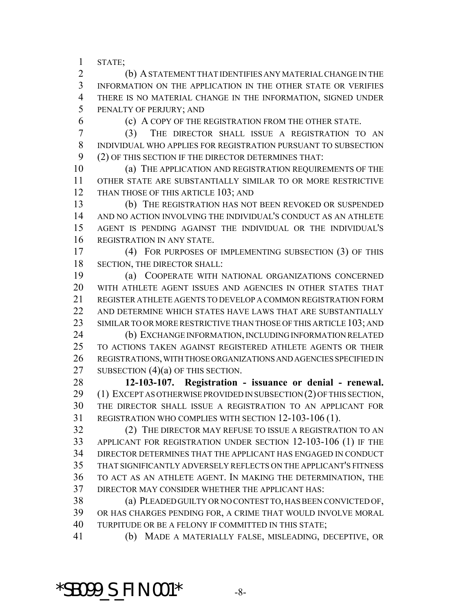STATE;

 (b) A STATEMENT THAT IDENTIFIES ANY MATERIAL CHANGE IN THE INFORMATION ON THE APPLICATION IN THE OTHER STATE OR VERIFIES THERE IS NO MATERIAL CHANGE IN THE INFORMATION, SIGNED UNDER PENALTY OF PERJURY; AND

(c) A COPY OF THE REGISTRATION FROM THE OTHER STATE.

 (3) THE DIRECTOR SHALL ISSUE A REGISTRATION TO AN INDIVIDUAL WHO APPLIES FOR REGISTRATION PURSUANT TO SUBSECTION (2) OF THIS SECTION IF THE DIRECTOR DETERMINES THAT:

 (a) THE APPLICATION AND REGISTRATION REQUIREMENTS OF THE OTHER STATE ARE SUBSTANTIALLY SIMILAR TO OR MORE RESTRICTIVE 12 THAN THOSE OF THIS ARTICLE 103; AND

 (b) THE REGISTRATION HAS NOT BEEN REVOKED OR SUSPENDED AND NO ACTION INVOLVING THE INDIVIDUAL'S CONDUCT AS AN ATHLETE AGENT IS PENDING AGAINST THE INDIVIDUAL OR THE INDIVIDUAL'S REGISTRATION IN ANY STATE.

 (4) FOR PURPOSES OF IMPLEMENTING SUBSECTION (3) OF THIS SECTION, THE DIRECTOR SHALL:

 (a) COOPERATE WITH NATIONAL ORGANIZATIONS CONCERNED WITH ATHLETE AGENT ISSUES AND AGENCIES IN OTHER STATES THAT REGISTER ATHLETE AGENTS TO DEVELOP A COMMON REGISTRATION FORM AND DETERMINE WHICH STATES HAVE LAWS THAT ARE SUBSTANTIALLY 23 SIMILAR TO OR MORE RESTRICTIVE THAN THOSE OF THIS ARTICLE 103; AND

 (b) EXCHANGE INFORMATION, INCLUDING INFORMATION RELATED TO ACTIONS TAKEN AGAINST REGISTERED ATHLETE AGENTS OR THEIR REGISTRATIONS, WITH THOSE ORGANIZATIONS AND AGENCIES SPECIFIED IN 27 SUBSECTION (4)(a) OF THIS SECTION.

 **12-103-107. Registration - issuance or denial - renewal.** (1) EXCEPT AS OTHERWISE PROVIDED IN SUBSECTION (2) OF THIS SECTION, THE DIRECTOR SHALL ISSUE A REGISTRATION TO AN APPLICANT FOR REGISTRATION WHO COMPLIES WITH SECTION 12-103-106 (1).

 (2) THE DIRECTOR MAY REFUSE TO ISSUE A REGISTRATION TO AN APPLICANT FOR REGISTRATION UNDER SECTION 12-103-106 (1) IF THE DIRECTOR DETERMINES THAT THE APPLICANT HAS ENGAGED IN CONDUCT THAT SIGNIFICANTLY ADVERSELY REFLECTS ON THE APPLICANT'S FITNESS TO ACT AS AN ATHLETE AGENT. IN MAKING THE DETERMINATION, THE DIRECTOR MAY CONSIDER WHETHER THE APPLICANT HAS:

 (a) PLEADED GUILTY OR NO CONTEST TO, HAS BEEN CONVICTED OF, OR HAS CHARGES PENDING FOR, A CRIME THAT WOULD INVOLVE MORAL TURPITUDE OR BE A FELONY IF COMMITTED IN THIS STATE;

(b) MADE A MATERIALLY FALSE, MISLEADING, DECEPTIVE, OR

# \*SB099\_S\_FIN.001\* -8-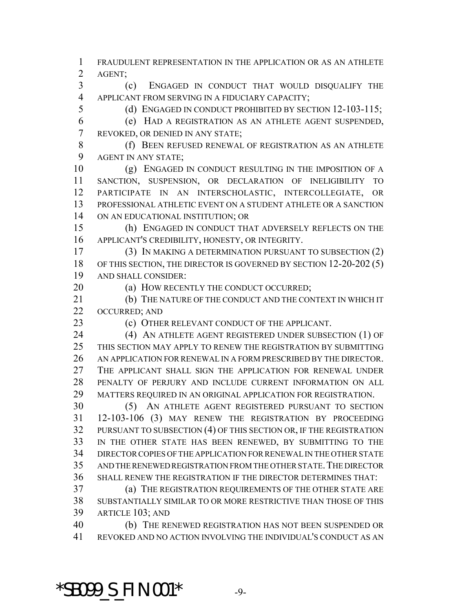FRAUDULENT REPRESENTATION IN THE APPLICATION OR AS AN ATHLETE AGENT;

 (c) ENGAGED IN CONDUCT THAT WOULD DISQUALIFY THE APPLICANT FROM SERVING IN A FIDUCIARY CAPACITY;

(d) ENGAGED IN CONDUCT PROHIBITED BY SECTION 12-103-115;

 (e) HAD A REGISTRATION AS AN ATHLETE AGENT SUSPENDED, REVOKED, OR DENIED IN ANY STATE;

8 (f) BEEN REFUSED RENEWAL OF REGISTRATION AS AN ATHLETE AGENT IN ANY STATE;

 (g) ENGAGED IN CONDUCT RESULTING IN THE IMPOSITION OF A SANCTION, SUSPENSION, OR DECLARATION OF INELIGIBILITY TO PARTICIPATE IN AN INTERSCHOLASTIC, INTERCOLLEGIATE, OR PROFESSIONAL ATHLETIC EVENT ON A STUDENT ATHLETE OR A SANCTION ON AN EDUCATIONAL INSTITUTION; OR

 (h) ENGAGED IN CONDUCT THAT ADVERSELY REFLECTS ON THE APPLICANT'S CREDIBILITY, HONESTY, OR INTEGRITY.

 (3) IN MAKING A DETERMINATION PURSUANT TO SUBSECTION (2) 18 OF THIS SECTION, THE DIRECTOR IS GOVERNED BY SECTION 12-20-202 (5) AND SHALL CONSIDER:

20 (a) HOW RECENTLY THE CONDUCT OCCURRED;

21 (b) THE NATURE OF THE CONDUCT AND THE CONTEXT IN WHICH IT OCCURRED; AND

(c) OTHER RELEVANT CONDUCT OF THE APPLICANT.

24 (4) AN ATHLETE AGENT REGISTERED UNDER SUBSECTION (1) OF THIS SECTION MAY APPLY TO RENEW THE REGISTRATION BY SUBMITTING AN APPLICATION FOR RENEWAL IN A FORM PRESCRIBED BY THE DIRECTOR. THE APPLICANT SHALL SIGN THE APPLICATION FOR RENEWAL UNDER PENALTY OF PERJURY AND INCLUDE CURRENT INFORMATION ON ALL MATTERS REQUIRED IN AN ORIGINAL APPLICATION FOR REGISTRATION.

 (5) AN ATHLETE AGENT REGISTERED PURSUANT TO SECTION 12-103-106 (3) MAY RENEW THE REGISTRATION BY PROCEEDING PURSUANT TO SUBSECTION (4) OF THIS SECTION OR, IF THE REGISTRATION IN THE OTHER STATE HAS BEEN RENEWED, BY SUBMITTING TO THE DIRECTOR COPIES OF THE APPLICATION FOR RENEWAL IN THE OTHER STATE AND THE RENEWED REGISTRATION FROM THE OTHER STATE.THE DIRECTOR SHALL RENEW THE REGISTRATION IF THE DIRECTOR DETERMINES THAT:

 (a) THE REGISTRATION REQUIREMENTS OF THE OTHER STATE ARE SUBSTANTIALLY SIMILAR TO OR MORE RESTRICTIVE THAN THOSE OF THIS ARTICLE 103; AND

 (b) THE RENEWED REGISTRATION HAS NOT BEEN SUSPENDED OR REVOKED AND NO ACTION INVOLVING THE INDIVIDUAL'S CONDUCT AS AN

**\*SB099\_S\_FIN.001\*** -9-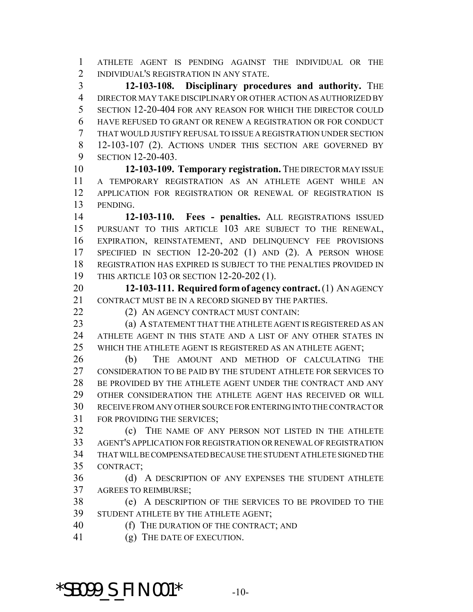ATHLETE AGENT IS PENDING AGAINST THE INDIVIDUAL OR THE INDIVIDUAL'S REGISTRATION IN ANY STATE.

 **12-103-108. Disciplinary procedures and authority.** THE DIRECTOR MAY TAKE DISCIPLINARY OR OTHER ACTION AS AUTHORIZED BY SECTION 12-20-404 FOR ANY REASON FOR WHICH THE DIRECTOR COULD HAVE REFUSED TO GRANT OR RENEW A REGISTRATION OR FOR CONDUCT THAT WOULD JUSTIFY REFUSAL TO ISSUE A REGISTRATION UNDER SECTION 12-103-107 (2). ACTIONS UNDER THIS SECTION ARE GOVERNED BY SECTION 12-20-403.

 **12-103-109. Temporary registration.** THE DIRECTOR MAY ISSUE A TEMPORARY REGISTRATION AS AN ATHLETE AGENT WHILE AN APPLICATION FOR REGISTRATION OR RENEWAL OF REGISTRATION IS PENDING.

 **12-103-110. Fees - penalties.** ALL REGISTRATIONS ISSUED PURSUANT TO THIS ARTICLE 103 ARE SUBJECT TO THE RENEWAL, EXPIRATION, REINSTATEMENT, AND DELINQUENCY FEE PROVISIONS SPECIFIED IN SECTION 12-20-202 (1) AND (2). A PERSON WHOSE REGISTRATION HAS EXPIRED IS SUBJECT TO THE PENALTIES PROVIDED IN THIS ARTICLE 103 OR SECTION 12-20-202 (1).

 **12-103-111. Required form of agency contract.** (1) AN AGENCY CONTRACT MUST BE IN A RECORD SIGNED BY THE PARTIES.

22 (2) AN AGENCY CONTRACT MUST CONTAIN:

 (a) A STATEMENT THAT THE ATHLETE AGENT IS REGISTERED AS AN ATHLETE AGENT IN THIS STATE AND A LIST OF ANY OTHER STATES IN WHICH THE ATHLETE AGENT IS REGISTERED AS AN ATHLETE AGENT;

 (b) THE AMOUNT AND METHOD OF CALCULATING THE 27 CONSIDERATION TO BE PAID BY THE STUDENT ATHLETE FOR SERVICES TO 28 BE PROVIDED BY THE ATHLETE AGENT UNDER THE CONTRACT AND ANY OTHER CONSIDERATION THE ATHLETE AGENT HAS RECEIVED OR WILL RECEIVE FROM ANY OTHER SOURCE FOR ENTERING INTO THE CONTRACT OR FOR PROVIDING THE SERVICES;

 (c) THE NAME OF ANY PERSON NOT LISTED IN THE ATHLETE AGENT'S APPLICATION FOR REGISTRATION OR RENEWAL OF REGISTRATION THAT WILL BE COMPENSATED BECAUSE THE STUDENT ATHLETE SIGNED THE CONTRACT;

 (d) A DESCRIPTION OF ANY EXPENSES THE STUDENT ATHLETE AGREES TO REIMBURSE;

 (e) A DESCRIPTION OF THE SERVICES TO BE PROVIDED TO THE STUDENT ATHLETE BY THE ATHLETE AGENT;

(f) THE DURATION OF THE CONTRACT; AND

(g) THE DATE OF EXECUTION.

**\*SB099\_S\_FIN.001\*** -10-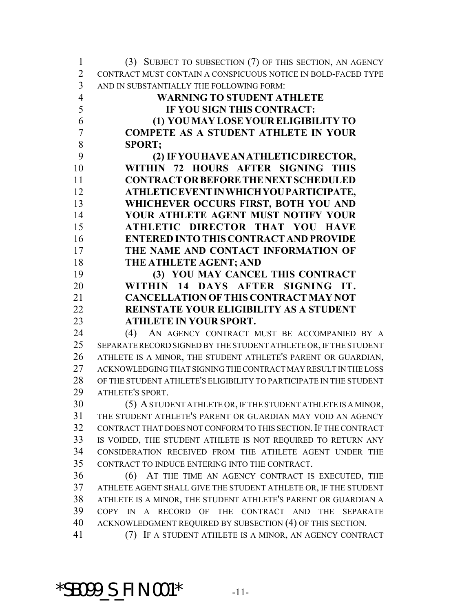| $\mathbf{1}$   | (3) SUBJECT TO SUBSECTION (7) OF THIS SECTION, AN AGENCY           |
|----------------|--------------------------------------------------------------------|
| $\overline{2}$ | CONTRACT MUST CONTAIN A CONSPICUOUS NOTICE IN BOLD-FACED TYPE      |
| $\overline{3}$ | AND IN SUBSTANTIALLY THE FOLLOWING FORM:                           |
| $\overline{4}$ | <b>WARNING TO STUDENT ATHLETE</b>                                  |
| 5              | IF YOU SIGN THIS CONTRACT:                                         |
| 6              | (1) YOU MAY LOSE YOUR ELIGIBILITY TO                               |
| $\overline{7}$ | <b>COMPETE AS A STUDENT ATHLETE IN YOUR</b>                        |
| 8              | <b>SPORT:</b>                                                      |
| 9              | (2) IF YOU HAVE AN ATHLETIC DIRECTOR,                              |
| 10             | WITHIN 72 HOURS AFTER SIGNING THIS                                 |
| 11             | <b>CONTRACT OR BEFORE THE NEXT SCHEDULED</b>                       |
| 12             | ATHLETIC EVENT IN WHICH YOU PARTICIPATE,                           |
| 13             | WHICHEVER OCCURS FIRST, BOTH YOU AND                               |
| 14             | YOUR ATHLETE AGENT MUST NOTIFY YOUR                                |
| 15             | ATHLETIC DIRECTOR THAT YOU HAVE                                    |
| 16             | <b>ENTERED INTO THIS CONTRACT AND PROVIDE</b>                      |
| 17             | THE NAME AND CONTACT INFORMATION OF                                |
| 18             | THE ATHLETE AGENT; AND                                             |
| 19             | (3) YOU MAY CANCEL THIS CONTRACT                                   |
| 20             | WITHIN 14 DAYS AFTER SIGNING IT.                                   |
| 21             | <b>CANCELLATION OF THIS CONTRACT MAY NOT</b>                       |
| 22             | <b>REINSTATE YOUR ELIGIBILITY AS A STUDENT</b>                     |
| 23             | <b>ATHLETE IN YOUR SPORT.</b>                                      |
| 24             | AN AGENCY CONTRACT MUST BE ACCOMPANIED BY A<br>(4)                 |
| 25             | SEPARATE RECORD SIGNED BY THE STUDENT ATHLETE OR, IF THE STUDENT   |
| 26             | ATHLETE IS A MINOR, THE STUDENT ATHLETE'S PARENT OR GUARDIAN,      |
| 27             | ACKNOWLEDGING THAT SIGNING THE CONTRACT MAY RESULT IN THE LOSS     |
| 28             | OF THE STUDENT ATHLETE'S ELIGIBILITY TO PARTICIPATE IN THE STUDENT |
| 29             | <b>ATHLETE'S SPORT.</b>                                            |
| 30             | (5) A STUDENT ATHLETE OR, IF THE STUDENT ATHLETE IS A MINOR,       |
| 31             | THE STUDENT ATHLETE'S PARENT OR GUARDIAN MAY VOID AN AGENCY        |
| 32             | CONTRACT THAT DOES NOT CONFORM TO THIS SECTION. IF THE CONTRACT    |
| 33             | IS VOIDED, THE STUDENT ATHLETE IS NOT REQUIRED TO RETURN ANY       |
| 34             | CONSIDERATION RECEIVED FROM THE ATHLETE AGENT UNDER THE            |
| 35             | CONTRACT TO INDUCE ENTERING INTO THE CONTRACT.                     |
| 36             | (6) AT THE TIME AN AGENCY CONTRACT IS EXECUTED, THE                |
| 37             | ATHLETE AGENT SHALL GIVE THE STUDENT ATHLETE OR, IF THE STUDENT    |
| 38             | ATHLETE IS A MINOR, THE STUDENT ATHLETE'S PARENT OR GUARDIAN A     |
| 39             | COPY IN A RECORD OF THE CONTRACT AND THE SEPARATE                  |
| 40             | ACKNOWLEDGMENT REQUIRED BY SUBSECTION (4) OF THIS SECTION.         |
| 41             | (7) IF A STUDENT ATHLETE IS A MINOR, AN AGENCY CONTRACT            |

\*SB099\_S\_FIN.001\* -11-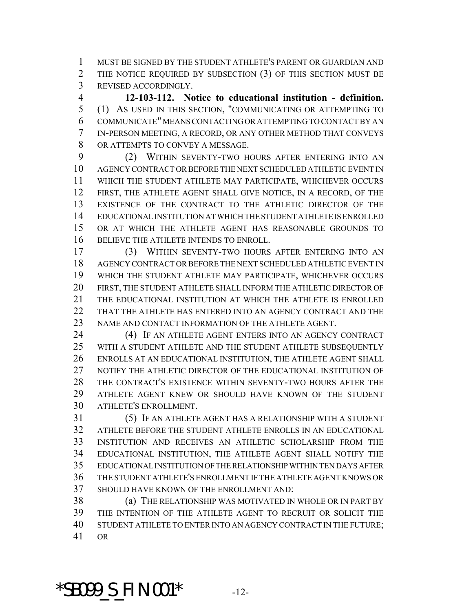MUST BE SIGNED BY THE STUDENT ATHLETE'S PARENT OR GUARDIAN AND THE NOTICE REQUIRED BY SUBSECTION (3) OF THIS SECTION MUST BE REVISED ACCORDINGLY.

 **12-103-112. Notice to educational institution - definition.** (1) AS USED IN THIS SECTION, "COMMUNICATING OR ATTEMPTING TO COMMUNICATE" MEANS CONTACTING OR ATTEMPTING TO CONTACT BY AN IN-PERSON MEETING, A RECORD, OR ANY OTHER METHOD THAT CONVEYS OR ATTEMPTS TO CONVEY A MESSAGE.

 (2) WITHIN SEVENTY-TWO HOURS AFTER ENTERING INTO AN AGENCY CONTRACT OR BEFORE THE NEXT SCHEDULED ATHLETIC EVENT IN WHICH THE STUDENT ATHLETE MAY PARTICIPATE, WHICHEVER OCCURS FIRST, THE ATHLETE AGENT SHALL GIVE NOTICE, IN A RECORD, OF THE EXISTENCE OF THE CONTRACT TO THE ATHLETIC DIRECTOR OF THE EDUCATIONAL INSTITUTION AT WHICH THE STUDENT ATHLETE IS ENROLLED OR AT WHICH THE ATHLETE AGENT HAS REASONABLE GROUNDS TO BELIEVE THE ATHLETE INTENDS TO ENROLL.

 (3) WITHIN SEVENTY-TWO HOURS AFTER ENTERING INTO AN AGENCY CONTRACT OR BEFORE THE NEXT SCHEDULED ATHLETIC EVENT IN WHICH THE STUDENT ATHLETE MAY PARTICIPATE, WHICHEVER OCCURS FIRST, THE STUDENT ATHLETE SHALL INFORM THE ATHLETIC DIRECTOR OF THE EDUCATIONAL INSTITUTION AT WHICH THE ATHLETE IS ENROLLED THAT THE ATHLETE HAS ENTERED INTO AN AGENCY CONTRACT AND THE NAME AND CONTACT INFORMATION OF THE ATHLETE AGENT.

 (4) IF AN ATHLETE AGENT ENTERS INTO AN AGENCY CONTRACT WITH A STUDENT ATHLETE AND THE STUDENT ATHLETE SUBSEQUENTLY ENROLLS AT AN EDUCATIONAL INSTITUTION, THE ATHLETE AGENT SHALL NOTIFY THE ATHLETIC DIRECTOR OF THE EDUCATIONAL INSTITUTION OF THE CONTRACT'S EXISTENCE WITHIN SEVENTY-TWO HOURS AFTER THE ATHLETE AGENT KNEW OR SHOULD HAVE KNOWN OF THE STUDENT ATHLETE'S ENROLLMENT.

 (5) IF AN ATHLETE AGENT HAS A RELATIONSHIP WITH A STUDENT ATHLETE BEFORE THE STUDENT ATHLETE ENROLLS IN AN EDUCATIONAL INSTITUTION AND RECEIVES AN ATHLETIC SCHOLARSHIP FROM THE EDUCATIONAL INSTITUTION, THE ATHLETE AGENT SHALL NOTIFY THE EDUCATIONAL INSTITUTION OF THE RELATIONSHIP WITHIN TEN DAYS AFTER THE STUDENT ATHLETE'S ENROLLMENT IF THE ATHLETE AGENT KNOWS OR SHOULD HAVE KNOWN OF THE ENROLLMENT AND:

 (a) THE RELATIONSHIP WAS MOTIVATED IN WHOLE OR IN PART BY THE INTENTION OF THE ATHLETE AGENT TO RECRUIT OR SOLICIT THE STUDENT ATHLETE TO ENTER INTO AN AGENCY CONTRACT IN THE FUTURE; OR

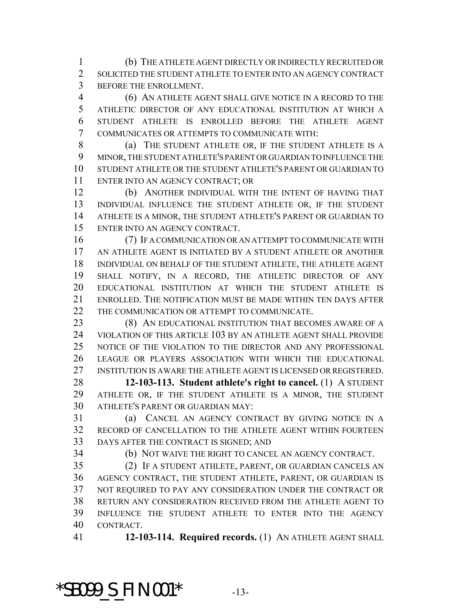(b) THE ATHLETE AGENT DIRECTLY OR INDIRECTLY RECRUITED OR SOLICITED THE STUDENT ATHLETE TO ENTER INTO AN AGENCY CONTRACT BEFORE THE ENROLLMENT.

 (6) AN ATHLETE AGENT SHALL GIVE NOTICE IN A RECORD TO THE ATHLETIC DIRECTOR OF ANY EDUCATIONAL INSTITUTION AT WHICH A STUDENT ATHLETE IS ENROLLED BEFORE THE ATHLETE AGENT COMMUNICATES OR ATTEMPTS TO COMMUNICATE WITH:

8 (a) THE STUDENT ATHLETE OR, IF THE STUDENT ATHLETE IS A MINOR, THE STUDENT ATHLETE'S PARENT OR GUARDIAN TO INFLUENCE THE STUDENT ATHLETE OR THE STUDENT ATHLETE'S PARENT OR GUARDIAN TO ENTER INTO AN AGENCY CONTRACT; OR

 (b) ANOTHER INDIVIDUAL WITH THE INTENT OF HAVING THAT INDIVIDUAL INFLUENCE THE STUDENT ATHLETE OR, IF THE STUDENT ATHLETE IS A MINOR, THE STUDENT ATHLETE'S PARENT OR GUARDIAN TO ENTER INTO AN AGENCY CONTRACT.

 (7) IF A COMMUNICATION OR AN ATTEMPT TO COMMUNICATE WITH AN ATHLETE AGENT IS INITIATED BY A STUDENT ATHLETE OR ANOTHER INDIVIDUAL ON BEHALF OF THE STUDENT ATHLETE, THE ATHLETE AGENT SHALL NOTIFY, IN A RECORD, THE ATHLETIC DIRECTOR OF ANY EDUCATIONAL INSTITUTION AT WHICH THE STUDENT ATHLETE IS ENROLLED. THE NOTIFICATION MUST BE MADE WITHIN TEN DAYS AFTER 22 THE COMMUNICATION OR ATTEMPT TO COMMUNICATE.

**(8) AN EDUCATIONAL INSTITUTION THAT BECOMES AWARE OF A**  VIOLATION OF THIS ARTICLE 103 BY AN ATHLETE AGENT SHALL PROVIDE NOTICE OF THE VIOLATION TO THE DIRECTOR AND ANY PROFESSIONAL LEAGUE OR PLAYERS ASSOCIATION WITH WHICH THE EDUCATIONAL INSTITUTION IS AWARE THE ATHLETE AGENT IS LICENSED OR REGISTERED.

 **12-103-113. Student athlete's right to cancel.** (1) A STUDENT ATHLETE OR, IF THE STUDENT ATHLETE IS A MINOR, THE STUDENT ATHLETE'S PARENT OR GUARDIAN MAY:

 (a) CANCEL AN AGENCY CONTRACT BY GIVING NOTICE IN A RECORD OF CANCELLATION TO THE ATHLETE AGENT WITHIN FOURTEEN DAYS AFTER THE CONTRACT IS SIGNED; AND

(b) NOT WAIVE THE RIGHT TO CANCEL AN AGENCY CONTRACT.

 (2) IF A STUDENT ATHLETE, PARENT, OR GUARDIAN CANCELS AN AGENCY CONTRACT, THE STUDENT ATHLETE, PARENT, OR GUARDIAN IS NOT REQUIRED TO PAY ANY CONSIDERATION UNDER THE CONTRACT OR RETURN ANY CONSIDERATION RECEIVED FROM THE ATHLETE AGENT TO INFLUENCE THE STUDENT ATHLETE TO ENTER INTO THE AGENCY CONTRACT.

**12-103-114. Required records.** (1) AN ATHLETE AGENT SHALL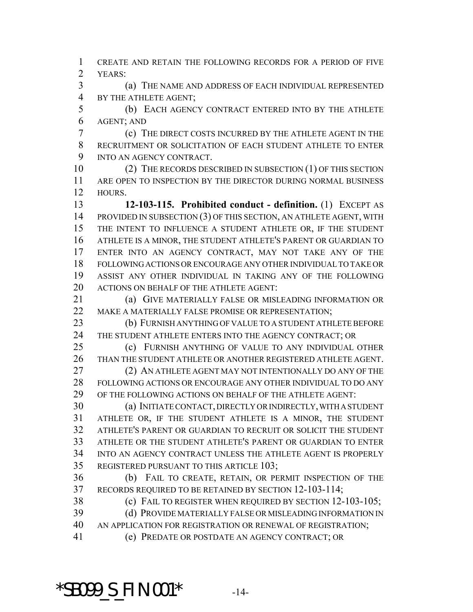CREATE AND RETAIN THE FOLLOWING RECORDS FOR A PERIOD OF FIVE YEARS:

 (a) THE NAME AND ADDRESS OF EACH INDIVIDUAL REPRESENTED BY THE ATHLETE AGENT;

 (b) EACH AGENCY CONTRACT ENTERED INTO BY THE ATHLETE AGENT; AND

 (c) THE DIRECT COSTS INCURRED BY THE ATHLETE AGENT IN THE RECRUITMENT OR SOLICITATION OF EACH STUDENT ATHLETE TO ENTER INTO AN AGENCY CONTRACT.

10 (2) THE RECORDS DESCRIBED IN SUBSECTION (1) OF THIS SECTION ARE OPEN TO INSPECTION BY THE DIRECTOR DURING NORMAL BUSINESS HOURS.

 **12-103-115. Prohibited conduct - definition.** (1) EXCEPT AS PROVIDED IN SUBSECTION (3) OF THIS SECTION, AN ATHLETE AGENT, WITH THE INTENT TO INFLUENCE A STUDENT ATHLETE OR, IF THE STUDENT ATHLETE IS A MINOR, THE STUDENT ATHLETE'S PARENT OR GUARDIAN TO ENTER INTO AN AGENCY CONTRACT, MAY NOT TAKE ANY OF THE FOLLOWING ACTIONS OR ENCOURAGE ANY OTHER INDIVIDUAL TO TAKE OR ASSIST ANY OTHER INDIVIDUAL IN TAKING ANY OF THE FOLLOWING ACTIONS ON BEHALF OF THE ATHLETE AGENT:

**(a) GIVE MATERIALLY FALSE OR MISLEADING INFORMATION OR** MAKE A MATERIALLY FALSE PROMISE OR REPRESENTATION;

 (b) FURNISH ANYTHING OF VALUE TO A STUDENT ATHLETE BEFORE THE STUDENT ATHLETE ENTERS INTO THE AGENCY CONTRACT; OR

 (c) FURNISH ANYTHING OF VALUE TO ANY INDIVIDUAL OTHER THAN THE STUDENT ATHLETE OR ANOTHER REGISTERED ATHLETE AGENT. (2) AN ATHLETE AGENT MAY NOT INTENTIONALLY DO ANY OF THE

 FOLLOWING ACTIONS OR ENCOURAGE ANY OTHER INDIVIDUAL TO DO ANY OF THE FOLLOWING ACTIONS ON BEHALF OF THE ATHLETE AGENT:

 (a) INITIATE CONTACT, DIRECTLY OR INDIRECTLY, WITH A STUDENT ATHLETE OR, IF THE STUDENT ATHLETE IS A MINOR, THE STUDENT ATHLETE'S PARENT OR GUARDIAN TO RECRUIT OR SOLICIT THE STUDENT ATHLETE OR THE STUDENT ATHLETE'S PARENT OR GUARDIAN TO ENTER INTO AN AGENCY CONTRACT UNLESS THE ATHLETE AGENT IS PROPERLY REGISTERED PURSUANT TO THIS ARTICLE 103;

 (b) FAIL TO CREATE, RETAIN, OR PERMIT INSPECTION OF THE RECORDS REQUIRED TO BE RETAINED BY SECTION 12-103-114;

(c) FAIL TO REGISTER WHEN REQUIRED BY SECTION 12-103-105;

 (d) PROVIDE MATERIALLY FALSE OR MISLEADING INFORMATION IN AN APPLICATION FOR REGISTRATION OR RENEWAL OF REGISTRATION;

(e) PREDATE OR POSTDATE AN AGENCY CONTRACT; OR

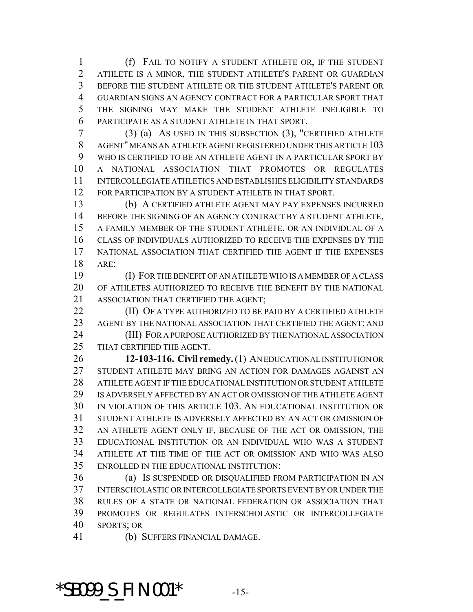(f) FAIL TO NOTIFY A STUDENT ATHLETE OR, IF THE STUDENT ATHLETE IS A MINOR, THE STUDENT ATHLETE'S PARENT OR GUARDIAN BEFORE THE STUDENT ATHLETE OR THE STUDENT ATHLETE'S PARENT OR GUARDIAN SIGNS AN AGENCY CONTRACT FOR A PARTICULAR SPORT THAT THE SIGNING MAY MAKE THE STUDENT ATHLETE INELIGIBLE TO PARTICIPATE AS A STUDENT ATHLETE IN THAT SPORT.

 (3) (a) AS USED IN THIS SUBSECTION (3), "CERTIFIED ATHLETE AGENT" MEANS AN ATHLETE AGENT REGISTERED UNDER THIS ARTICLE 103 WHO IS CERTIFIED TO BE AN ATHLETE AGENT IN A PARTICULAR SPORT BY A NATIONAL ASSOCIATION THAT PROMOTES OR REGULATES INTERCOLLEGIATE ATHLETICS AND ESTABLISHES ELIGIBILITY STANDARDS FOR PARTICIPATION BY A STUDENT ATHLETE IN THAT SPORT.

 (b) A CERTIFIED ATHLETE AGENT MAY PAY EXPENSES INCURRED BEFORE THE SIGNING OF AN AGENCY CONTRACT BY A STUDENT ATHLETE, A FAMILY MEMBER OF THE STUDENT ATHLETE, OR AN INDIVIDUAL OF A CLASS OF INDIVIDUALS AUTHORIZED TO RECEIVE THE EXPENSES BY THE NATIONAL ASSOCIATION THAT CERTIFIED THE AGENT IF THE EXPENSES ARE:

 (I) FOR THE BENEFIT OF AN ATHLETE WHO IS A MEMBER OF A CLASS OF ATHLETES AUTHORIZED TO RECEIVE THE BENEFIT BY THE NATIONAL ASSOCIATION THAT CERTIFIED THE AGENT;

**(II) OF A TYPE AUTHORIZED TO BE PAID BY A CERTIFIED ATHLETE** AGENT BY THE NATIONAL ASSOCIATION THAT CERTIFIED THE AGENT; AND

 (III) FOR A PURPOSE AUTHORIZED BY THE NATIONAL ASSOCIATION THAT CERTIFIED THE AGENT.

 **12-103-116. Civil remedy.** (1) AN EDUCATIONAL INSTITUTION OR STUDENT ATHLETE MAY BRING AN ACTION FOR DAMAGES AGAINST AN ATHLETE AGENT IF THE EDUCATIONAL INSTITUTION OR STUDENT ATHLETE IS ADVERSELY AFFECTED BY AN ACT OR OMISSION OF THE ATHLETE AGENT IN VIOLATION OF THIS ARTICLE 103. AN EDUCATIONAL INSTITUTION OR STUDENT ATHLETE IS ADVERSELY AFFECTED BY AN ACT OR OMISSION OF AN ATHLETE AGENT ONLY IF, BECAUSE OF THE ACT OR OMISSION, THE EDUCATIONAL INSTITUTION OR AN INDIVIDUAL WHO WAS A STUDENT ATHLETE AT THE TIME OF THE ACT OR OMISSION AND WHO WAS ALSO ENROLLED IN THE EDUCATIONAL INSTITUTION:

 (a) IS SUSPENDED OR DISQUALIFIED FROM PARTICIPATION IN AN INTERSCHOLASTIC OR INTERCOLLEGIATE SPORTS EVENT BY OR UNDER THE RULES OF A STATE OR NATIONAL FEDERATION OR ASSOCIATION THAT PROMOTES OR REGULATES INTERSCHOLASTIC OR INTERCOLLEGIATE SPORTS; OR

(b) SUFFERS FINANCIAL DAMAGE.

\*SB099\_S\_FIN.001\* -15-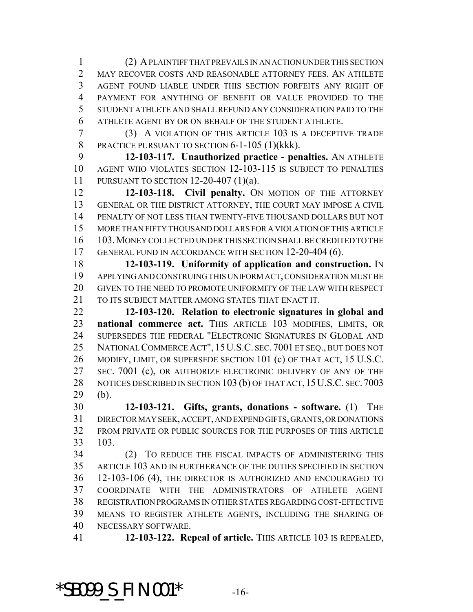(2) A PLAINTIFF THAT PREVAILS IN AN ACTION UNDER THIS SECTION MAY RECOVER COSTS AND REASONABLE ATTORNEY FEES. AN ATHLETE AGENT FOUND LIABLE UNDER THIS SECTION FORFEITS ANY RIGHT OF PAYMENT FOR ANYTHING OF BENEFIT OR VALUE PROVIDED TO THE STUDENT ATHLETE AND SHALL REFUND ANY CONSIDERATION PAID TO THE ATHLETE AGENT BY OR ON BEHALF OF THE STUDENT ATHLETE.

 (3) A VIOLATION OF THIS ARTICLE 103 IS A DECEPTIVE TRADE 8 PRACTICE PURSUANT TO SECTION 6-1-105 (1)(kkk).

 **12-103-117. Unauthorized practice - penalties.** AN ATHLETE AGENT WHO VIOLATES SECTION 12-103-115 IS SUBJECT TO PENALTIES PURSUANT TO SECTION 12-20-407 (1)(a).

 **12-103-118. Civil penalty.** ON MOTION OF THE ATTORNEY GENERAL OR THE DISTRICT ATTORNEY, THE COURT MAY IMPOSE A CIVIL PENALTY OF NOT LESS THAN TWENTY-FIVE THOUSAND DOLLARS BUT NOT MORE THAN FIFTY THOUSAND DOLLARS FOR A VIOLATION OF THIS ARTICLE 103.MONEY COLLECTED UNDER THIS SECTION SHALL BE CREDITED TO THE GENERAL FUND IN ACCORDANCE WITH SECTION 12-20-404 (6).

 **12-103-119. Uniformity of application and construction.** IN APPLYING AND CONSTRUING THIS UNIFORM ACT, CONSIDERATION MUST BE GIVEN TO THE NEED TO PROMOTE UNIFORMITY OF THE LAW WITH RESPECT 21 TO ITS SUBJECT MATTER AMONG STATES THAT ENACT IT.

 **12-103-120. Relation to electronic signatures in global and national commerce act.** THIS ARTICLE 103 MODIFIES, LIMITS, OR SUPERSEDES THE FEDERAL "ELECTRONIC SIGNATURES IN GLOBAL AND NATIONAL COMMERCE ACT", 15U.S.C. SEC. 7001 ET SEQ., BUT DOES NOT 26 MODIFY, LIMIT, OR SUPERSEDE SECTION 101 (c) OF THAT ACT, 15 U.S.C. 27 SEC. 7001 (c), OR AUTHORIZE ELECTRONIC DELIVERY OF ANY OF THE 28 NOTICES DESCRIBED IN SECTION 103 (b) OF THAT ACT, 15 U.S.C. SEC. 7003 (b).

 **12-103-121. Gifts, grants, donations - software.** (1) THE DIRECTOR MAY SEEK, ACCEPT, AND EXPEND GIFTS, GRANTS, OR DONATIONS FROM PRIVATE OR PUBLIC SOURCES FOR THE PURPOSES OF THIS ARTICLE 103.

 (2) TO REDUCE THE FISCAL IMPACTS OF ADMINISTERING THIS ARTICLE 103 AND IN FURTHERANCE OF THE DUTIES SPECIFIED IN SECTION 12-103-106 (4), THE DIRECTOR IS AUTHORIZED AND ENCOURAGED TO COORDINATE WITH THE ADMINISTRATORS OF ATHLETE AGENT REGISTRATION PROGRAMS IN OTHER STATES REGARDING COST-EFFECTIVE MEANS TO REGISTER ATHLETE AGENTS, INCLUDING THE SHARING OF NECESSARY SOFTWARE.

**12-103-122. Repeal of article.** THIS ARTICLE 103 IS REPEALED,

## **\*SB099\_S\_FIN.001\*** -16-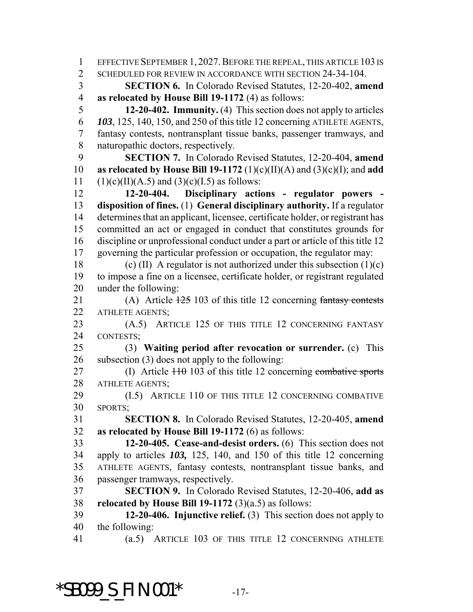1 EFFECTIVE SEPTEMBER 1, 2027. BEFORE THE REPEAL, THIS ARTICLE 103 IS 2 SCHEDULED FOR REVIEW IN ACCORDANCE WITH SECTION 24-34-104. **SECTION 6.** In Colorado Revised Statutes, 12-20-402, **amend as relocated by House Bill 19-1172** (4) as follows: **12-20-402. Immunity.** (4) This section does not apply to articles *103*, 125, 140, 150, and 250 of this title 12 concerning ATHLETE AGENTS, fantasy contests, nontransplant tissue banks, passenger tramways, and naturopathic doctors, respectively. **SECTION 7.** In Colorado Revised Statutes, 12-20-404, **amend as relocated by House Bill 19-1172** (1)(c)(II)(A) and (3)(c)(I); and **add** 11 (1)(c)(II)(A.5) and (3)(c)(I.5) as follows: **12-20-404. Disciplinary actions - regulator powers - disposition of fines.** (1) **General disciplinary authority.** If a regulator determines that an applicant, licensee, certificate holder, or registrant has committed an act or engaged in conduct that constitutes grounds for discipline or unprofessional conduct under a part or article of this title 12 governing the particular profession or occupation, the regulator may: 18 (c) (II) A regulator is not authorized under this subsection  $(1)(c)$  to impose a fine on a licensee, certificate holder, or registrant regulated under the following: 21 (A) Article  $\frac{125}{103}$  of this title 12 concerning fantasy contests 22 ATHLETE AGENTS: 23 (A.5) ARTICLE 125 OF THIS TITLE 12 CONCERNING FANTASY CONTESTS; (3) **Waiting period after revocation or surrender.** (c) This subsection (3) does not apply to the following: 27 (I) Article of this title 12 concerning combative sports 28 ATHLETE AGENTS; (I.5) ARTICLE 110 OF THIS TITLE 12 CONCERNING COMBATIVE SPORTS; **SECTION 8.** In Colorado Revised Statutes, 12-20-405, **amend as relocated by House Bill 19-1172** (6) as follows: **12-20-405. Cease-and-desist orders.** (6) This section does not apply to articles *103,* 125, 140, and 150 of this title 12 concerning ATHLETE AGENTS, fantasy contests, nontransplant tissue banks, and passenger tramways, respectively. **SECTION 9.** In Colorado Revised Statutes, 12-20-406, **add as relocated by House Bill 19-1172** (3)(a.5) as follows: **12-20-406. Injunctive relief.** (3) This section does not apply to the following: (a.5) ARTICLE 103 OF THIS TITLE 12 CONCERNING ATHLETE

# **\*SB099\_S\_FIN.001\*** -17-